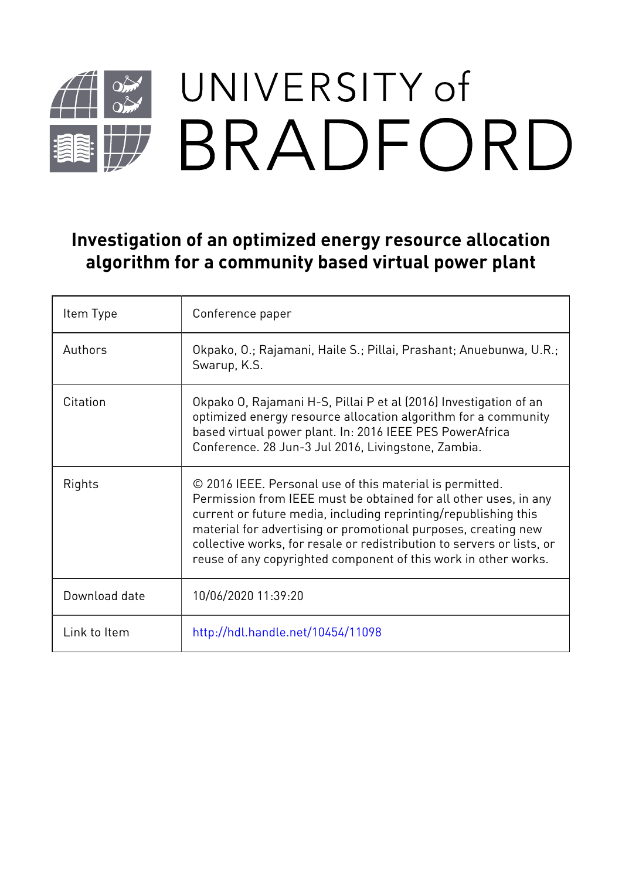# UNIVERSITY of BRADFORD

### **Investigation of an optimized energy resource allocation algorithm for a community based virtual power plant**

| Item Type     | Conference paper                                                                                                                                                                                                                                                                                                                                                                                               |
|---------------|----------------------------------------------------------------------------------------------------------------------------------------------------------------------------------------------------------------------------------------------------------------------------------------------------------------------------------------------------------------------------------------------------------------|
| Authors       | Okpako, O.; Rajamani, Haile S.; Pillai, Prashant; Anuebunwa, U.R.;<br>Swarup, K.S.                                                                                                                                                                                                                                                                                                                             |
| Citation      | Okpako O, Rajamani H-S, Pillai P et al (2016) Investigation of an<br>optimized energy resource allocation algorithm for a community<br>based virtual power plant. In: 2016 IEEE PES PowerAfrica<br>Conference. 28 Jun-3 Jul 2016, Livingstone, Zambia.                                                                                                                                                         |
| Rights        | © 2016 IEEE. Personal use of this material is permitted.<br>Permission from IEEE must be obtained for all other uses, in any<br>current or future media, including reprinting/republishing this<br>material for advertising or promotional purposes, creating new<br>collective works, for resale or redistribution to servers or lists, or<br>reuse of any copyrighted component of this work in other works. |
| Download date | 10/06/2020 11:39:20                                                                                                                                                                                                                                                                                                                                                                                            |
| Link to Item  | http://hdl.handle.net/10454/11098                                                                                                                                                                                                                                                                                                                                                                              |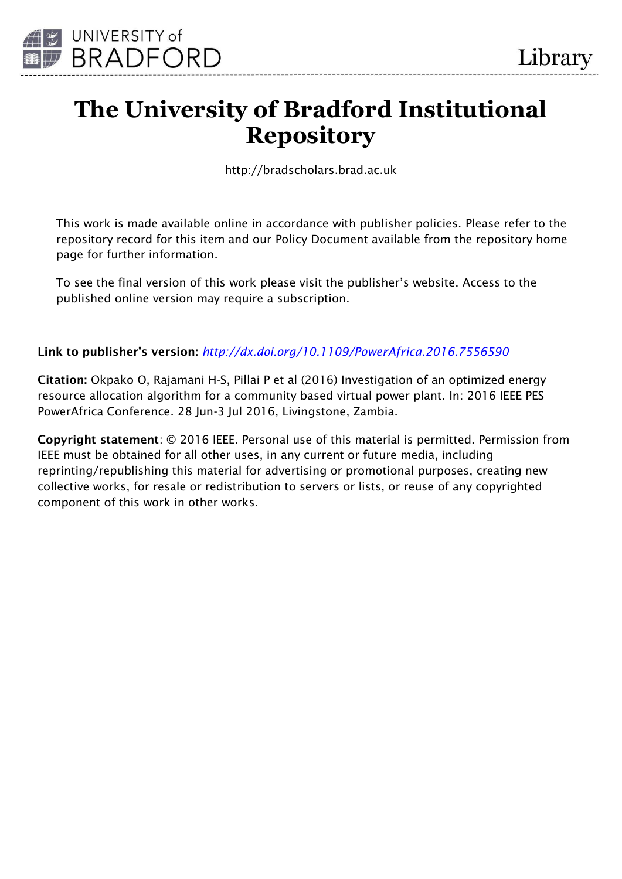

## **The University of Bradford Institutional Repository**

http://bradscholars.brad.ac.uk

This work is made available online in accordance with publisher policies. Please refer to the repository record for this item and our Policy Document available from the repository home page for further information.

To see the final version of this work please visit the publisher's website. Access to the published online version may require a subscription.

#### **Link to publisher's version:** *[http://dx.doi.org/10.1109/PowerAfrica.2016.7556590](http://dx.doi.org/10.1680/jmacr.16.00190)*

**Citation:** Okpako O, Rajamani H-S, Pillai P et al (2016) Investigation of an optimized energy resource allocation algorithm for a community based virtual power plant. In: 2016 IEEE PES PowerAfrica Conference. 28 Jun-3 Jul 2016, Livingstone, Zambia.

**Copyright statement**: © 2016 IEEE. Personal use of this material is permitted. Permission from IEEE must be obtained for all other uses, in any current or future media, including reprinting/republishing this material for advertising or promotional purposes, creating new collective works, for resale or redistribution to servers or lists, or reuse of any copyrighted component of this work in other works.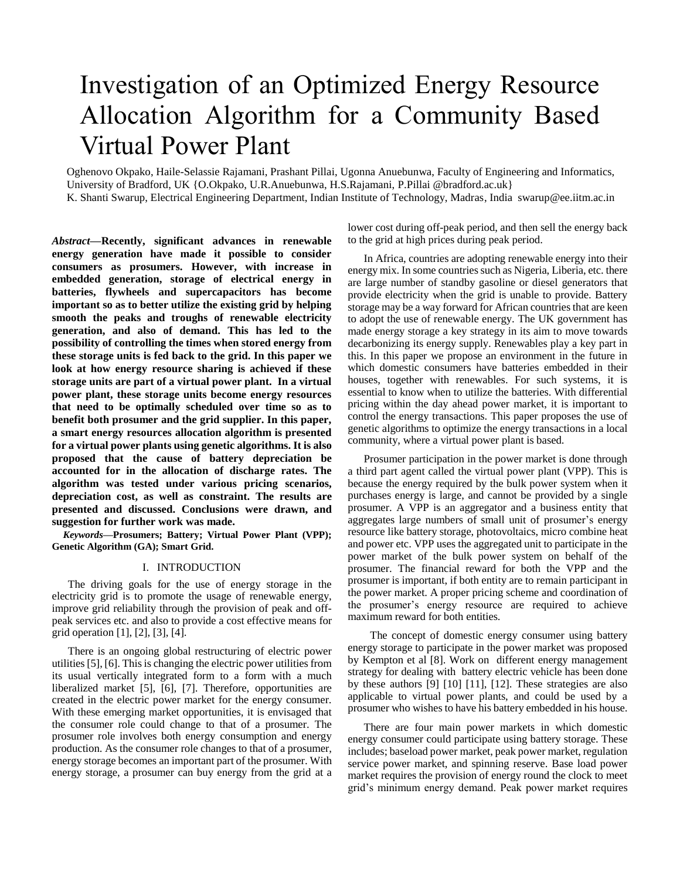## Investigation of an Optimized Energy Resource Allocation Algorithm for a Community Based Virtual Power Plant

Oghenovo Okpako, Haile-Selassie Rajamani, Prashant Pillai, Ugonna Anuebunwa, Faculty of Engineering and Informatics, University of Bradford, UK {O.Okpako, U.R.Anuebunwa, H.S.Rajamani, P.Pillai @bradford.ac.uk} K. Shanti Swarup, Electrical Engineering Department, Indian Institute of Technology, Madras, India swarup@ee.iitm.ac.in

*Abstract***—Recently, significant advances in renewable energy generation have made it possible to consider consumers as prosumers. However, with increase in embedded generation, storage of electrical energy in batteries, flywheels and supercapacitors has become important so as to better utilize the existing grid by helping smooth the peaks and troughs of renewable electricity generation, and also of demand. This has led to the possibility of controlling the times when stored energy from these storage units is fed back to the grid. In this paper we look at how energy resource sharing is achieved if these storage units are part of a virtual power plant. In a virtual power plant, these storage units become energy resources that need to be optimally scheduled over time so as to benefit both prosumer and the grid supplier. In this paper, a smart energy resources allocation algorithm is presented for a virtual power plants using genetic algorithms. It is also proposed that the cause of battery depreciation be accounted for in the allocation of discharge rates. The algorithm was tested under various pricing scenarios, depreciation cost, as well as constraint. The results are presented and discussed. Conclusions were drawn, and suggestion for further work was made.**

*Keywords***—Prosumers; Battery; Virtual Power Plant (VPP); Genetic Algorithm (GA); Smart Grid.**

#### I. INTRODUCTION

The driving goals for the use of energy storage in the electricity grid is to promote the usage of renewable energy, improve grid reliability through the provision of peak and offpeak services etc. and also to provide a cost effective means for grid operation [\[1\]](#page-6-0), [\[2\]](#page-6-1), [\[3\]](#page-6-2), [\[4\]](#page-6-3).

There is an ongoing global restructuring of electric power utilities[\[5\]](#page-6-4), [\[6\]](#page-6-5). This is changing the electric power utilities from its usual vertically integrated form to a form with a much liberalized market [\[5\]](#page-6-4), [\[6\]](#page-6-5), [\[7\]](#page-6-6). Therefore, opportunities are created in the electric power market for the energy consumer. With these emerging market opportunities, it is envisaged that the consumer role could change to that of a prosumer. The prosumer role involves both energy consumption and energy production. As the consumer role changes to that of a prosumer, energy storage becomes an important part of the prosumer. With energy storage, a prosumer can buy energy from the grid at a lower cost during off-peak period, and then sell the energy back to the grid at high prices during peak period.

In Africa, countries are adopting renewable energy into their energy mix. In some countries such as Nigeria, Liberia, etc. there are large number of standby gasoline or diesel generators that provide electricity when the grid is unable to provide. Battery storage may be a way forward for African countries that are keen to adopt the use of renewable energy. The UK government has made energy storage a key strategy in its aim to move towards decarbonizing its energy supply. Renewables play a key part in this. In this paper we propose an environment in the future in which domestic consumers have batteries embedded in their houses, together with renewables. For such systems, it is essential to know when to utilize the batteries. With differential pricing within the day ahead power market, it is important to control the energy transactions. This paper proposes the use of genetic algorithms to optimize the energy transactions in a local community, where a virtual power plant is based.

Prosumer participation in the power market is done through a third part agent called the virtual power plant (VPP). This is because the energy required by the bulk power system when it purchases energy is large, and cannot be provided by a single prosumer. A VPP is an aggregator and a business entity that aggregates large numbers of small unit of prosumer's energy resource like battery storage, photovoltaics, micro combine heat and power etc. VPP uses the aggregated unit to participate in the power market of the bulk power system on behalf of the prosumer. The financial reward for both the VPP and the prosumer is important, if both entity are to remain participant in the power market. A proper pricing scheme and coordination of the prosumer's energy resource are required to achieve maximum reward for both entities.

The concept of domestic energy consumer using battery energy storage to participate in the power market was proposed by Kempton et al [\[8\]](#page-6-7). Work on different energy management strategy for dealing with battery electric vehicle has been done by these authors [\[9\]](#page-6-8) [\[10\]](#page-6-9) [\[11\]](#page-6-10), [\[12\]](#page-6-11). These strategies are also applicable to virtual power plants, and could be used by a prosumer who wishes to have his battery embedded in his house.

There are four main power markets in which domestic energy consumer could participate using battery storage. These includes; baseload power market, peak power market, regulation service power market, and spinning reserve. Base load power market requires the provision of energy round the clock to meet grid's minimum energy demand. Peak power market requires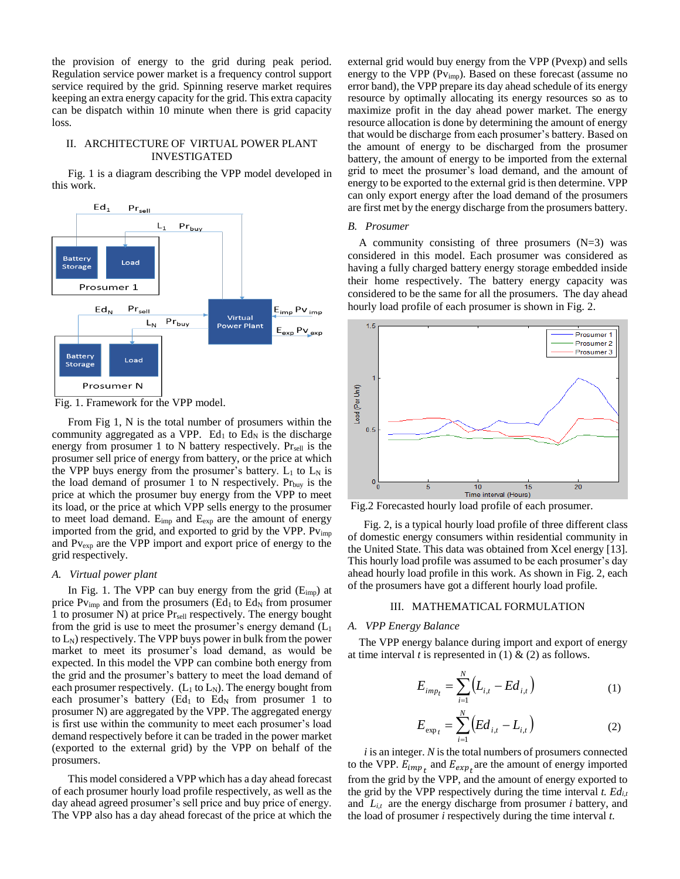the provision of energy to the grid during peak period. Regulation service power market is a frequency control support service required by the grid. Spinning reserve market requires keeping an extra energy capacity for the grid. This extra capacity can be dispatch within 10 minute when there is grid capacity loss.

#### II. ARCHITECTURE OF VIRTUAL POWER PLANT INVESTIGATED

Fig. 1 is a diagram describing the VPP model developed in this work.



Fig. 1. Framework for the VPP model.

From Fig 1, N is the total number of prosumers within the community aggregated as a VPP. Ed<sub>1</sub> to Ed<sub>N</sub> is the discharge energy from prosumer 1 to N battery respectively.  $Pr_{\text{self}}$  is the prosumer sell price of energy from battery, or the price at which the VPP buys energy from the prosumer's battery.  $L_1$  to  $L_N$  is the load demand of prosumer 1 to N respectively.  $Pr_{buy}$  is the price at which the prosumer buy energy from the VPP to meet its load, or the price at which VPP sells energy to the prosumer to meet load demand. Eimp and Eexp are the amount of energy imported from the grid, and exported to grid by the VPP. Pv<sub>imp</sub> and Pv<sub>exp</sub> are the VPP import and export price of energy to the grid respectively.

#### *A. Virtual power plant*

In Fig. 1. The VPP can buy energy from the grid  $(E_{\text{imp}})$  at price  $Pv_{\text{imp}}$  and from the prosumers (Ed<sub>1</sub> to Ed<sub>N</sub> from prosumer 1 to prosumer N) at price Pr<sub>sell</sub> respectively. The energy bought from the grid is use to meet the prosumer's energy demand  $(L<sub>1</sub>)$ to  $L_N$ ) respectively. The VPP buys power in bulk from the power market to meet its prosumer's load demand, as would be expected. In this model the VPP can combine both energy from the grid and the prosumer's battery to meet the load demand of each prosumer respectively.  $(L_1 \text{ to } L_N)$ . The energy bought from each prosumer's battery (Ed<sub>1</sub> to Ed<sub>N</sub> from prosumer 1 to prosumer N) are aggregated by the VPP. The aggregated energy is first use within the community to meet each prosumer's load demand respectively before it can be traded in the power market (exported to the external grid) by the VPP on behalf of the prosumers.

This model considered a VPP which has a day ahead forecast of each prosumer hourly load profile respectively, as well as the day ahead agreed prosumer's sell price and buy price of energy. The VPP also has a day ahead forecast of the price at which the

external grid would buy energy from the VPP (Pvexp) and sells energy to the VPP (Pvimp). Based on these forecast (assume no error band), the VPP prepare its day ahead schedule of its energy resource by optimally allocating its energy resources so as to maximize profit in the day ahead power market. The energy resource allocation is done by determining the amount of energy that would be discharge from each prosumer's battery. Based on the amount of energy to be discharged from the prosumer battery, the amount of energy to be imported from the external grid to meet the prosumer's load demand, and the amount of energy to be exported to the external grid is then determine. VPP can only export energy after the load demand of the prosumers are first met by the energy discharge from the prosumers battery.

#### *B. Prosumer*

A community consisting of three prosumers  $(N=3)$  was considered in this model. Each prosumer was considered as having a fully charged battery energy storage embedded inside their home respectively. The battery energy capacity was considered to be the same for all the prosumers. The day ahead hourly load profile of each prosumer is shown in Fig. 2.



Fig.2 Forecasted hourly load profile of each prosumer.

Fig. 2, is a typical hourly load profile of three different class of domestic energy consumers within residential community in the United State. This data was obtained from Xcel energy [13]. This hourly load profile was assumed to be each prosumer's day ahead hourly load profile in this work. As shown in Fig. 2, each of the prosumers have got a different hourly load profile.

#### III. MATHEMATICAL FORMULATION

#### *A. VPP Energy Balance*

The VPP energy balance during import and export of energy at time interval *t* is represented in (1)  $\&$  (2) as follows.

$$
E_{imp_t} = \sum_{i=1}^{N} (L_{i,t} - Ed_{i,t})
$$
 (1)

$$
E_{\exp_t} = \sum_{i=1}^{N} \left( Ed_{i,t} - L_{i,t} \right)
$$
 (2)

 *i* is an integer. *N* is the total numbers of prosumers connected to the VPP.  $E_{imp}$  and  $E_{exp}$  are the amount of energy imported from the grid by the VPP, and the amount of energy exported to the grid by the VPP respectively during the time interval *t. Edi,t* and  $L_{i,t}$  are the energy discharge from prosumer *i* battery, and the load of prosumer *i* respectively during the time interval *t*.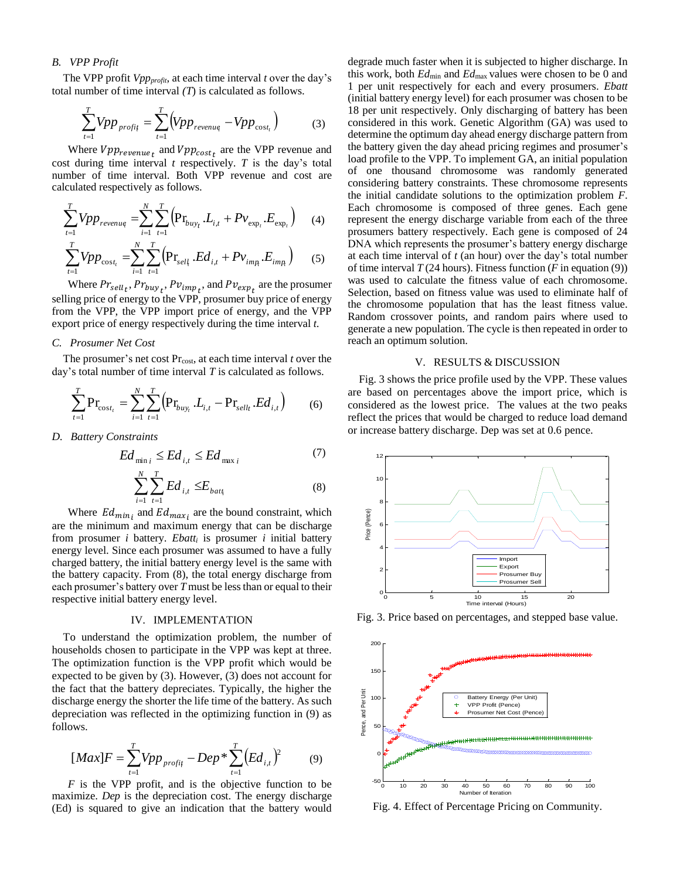#### *B. VPP Profit*

The VPP profit *Vppprofit*, at each time interval *t* over the day's total number of time interval *(T*) is calculated as follows.

$$
\sum_{t=1}^{T} Vpp_{\text{profit}} = \sum_{t=1}^{T} \left( Vpp_{\text{revenue}} - Vpp_{\text{cost}_t} \right) \tag{3}
$$

Where  $Vpp_{revenue_t}$  and  $Vpp_{cost_t}$  are the VPP revenue and cost during time interval *t* respectively. *T* is the day's total number of time interval. Both VPP revenue and cost are calculated respectively as follows.

$$
\sum_{t=1}^{T} Vpp_{revenue} = \sum_{i=1}^{N} \sum_{t=1}^{T} \left( \mathbf{Pr}_{buy_t} \cdot L_{i,t} + Pv_{\text{exp}_t} \cdot E_{\text{exp}_t} \right) \tag{4}
$$
  

$$
\sum_{t=1}^{T} Vpp_{\text{cost}_t} = \sum_{i=1}^{N} \sum_{t=1}^{T} \left( \mathbf{Pr}_{\text{self}} \cdot Ed_{i,t} + Pv_{\text{imp}_t} \cdot E_{\text{imp}_t} \right) \tag{5}
$$

Where  $Pr_{sell_t}$ ,  $Pr_{buy_t}$ ,  $Pr_{imp_t}$ , and  $Pr_{exp_t}$  are the prosumer selling price of energy to the VPP, prosumer buy price of energy from the VPP, the VPP import price of energy, and the VPP export price of energy respectively during the time interval *t*.

#### *C. Prosumer Net Cost*

The prosumer's net cost Pr<sub>cost</sub>, at each time interval *t* over the day's total number of time interval *T* is calculated as follows.

$$
\sum_{t=1}^{T} \mathbf{Pr}_{\text{cost}_t} = \sum_{i=1}^{N} \sum_{t=1}^{T} \left( \mathbf{Pr}_{buy_t} \cdot L_{i,t} - \mathbf{Pr}_{\text{sell}_t} \cdot Ed_{i,t} \right) \tag{6}
$$

*D. Battery Constraints*

$$
Ed_{\min i} \le Ed_{i,t} \le Ed_{\max i}
$$
\n<sup>(7)</sup>\n
$$
\sum_{i=1}^{N} \sum_{i=1}^{T} F_{i}d_{i} \le F_{i}
$$

$$
\sum_{i=1} \sum_{t=1} E d_{i,t} \le E_{batt_i}
$$
 (8)

Where  $Ed_{min_i}$  and  $Ed_{max_i}$  are the bound constraint, which are the minimum and maximum energy that can be discharge from prosumer *i* battery. *Ebatt<sub>i</sub>* is prosumer *i* initial battery energy level. Since each prosumer was assumed to have a fully charged battery, the initial battery energy level is the same with the battery capacity. From (8), the total energy discharge from each prosumer's battery over *T* must be less than or equal to their respective initial battery energy level.

#### IV. IMPLEMENTATION

To understand the optimization problem, the number of households chosen to participate in the VPP was kept at three. The optimization function is the VPP profit which would be expected to be given by (3). However, (3) does not account for the fact that the battery depreciates. Typically, the higher the discharge energy the shorter the life time of the battery. As such depreciation was reflected in the optimizing function in (9) as follows.

$$
[Max]F = \sum_{t=1}^{T} Vpp_{\text{profit}} - Dep * \sum_{t=1}^{T} (Ed_{i,t})^2 \tag{9}
$$

*F* is the VPP profit, and is the objective function to be maximize. *Dep* is the depreciation cost. The energy discharge (Ed) is squared to give an indication that the battery would

degrade much faster when it is subjected to higher discharge. In this work, both *Ed*min and *Ed*max values were chosen to be 0 and 1 per unit respectively for each and every prosumers. *Ebatt* (initial battery energy level) for each prosumer was chosen to be 18 per unit respectively. Only discharging of battery has been considered in this work. Genetic Algorithm (GA) was used to determine the optimum day ahead energy discharge pattern from the battery given the day ahead pricing regimes and prosumer's load profile to the VPP. To implement GA, an initial population of one thousand chromosome was randomly generated considering battery constraints. These chromosome represents the initial candidate solutions to the optimization problem *F*. Each chromosome is composed of three genes. Each gene represent the energy discharge variable from each of the three prosumers battery respectively. Each gene is composed of 24 DNA which represents the prosumer's battery energy discharge at each time interval of *t* (an hour) over the day's total number of time interval  $T(24$  hours). Fitness function (*F* in equation (9)) was used to calculate the fitness value of each chromosome. Selection, based on fitness value was used to eliminate half of the chromosome population that has the least fitness value. Random crossover points, and random pairs where used to generate a new population. The cycle is then repeated in order to reach an optimum solution.

#### V. RESULTS & DISCUSSION

Fig. 3 shows the price profile used by the VPP. These values are based on percentages above the import price, which is considered as the lowest price. The values at the two peaks reflect the prices that would be charged to reduce load demand or increase battery discharge. Dep was set at 0.6 pence.



Fig. 3. Price based on percentages, and stepped base value.



Fig. 4. Effect of Percentage Pricing on Community.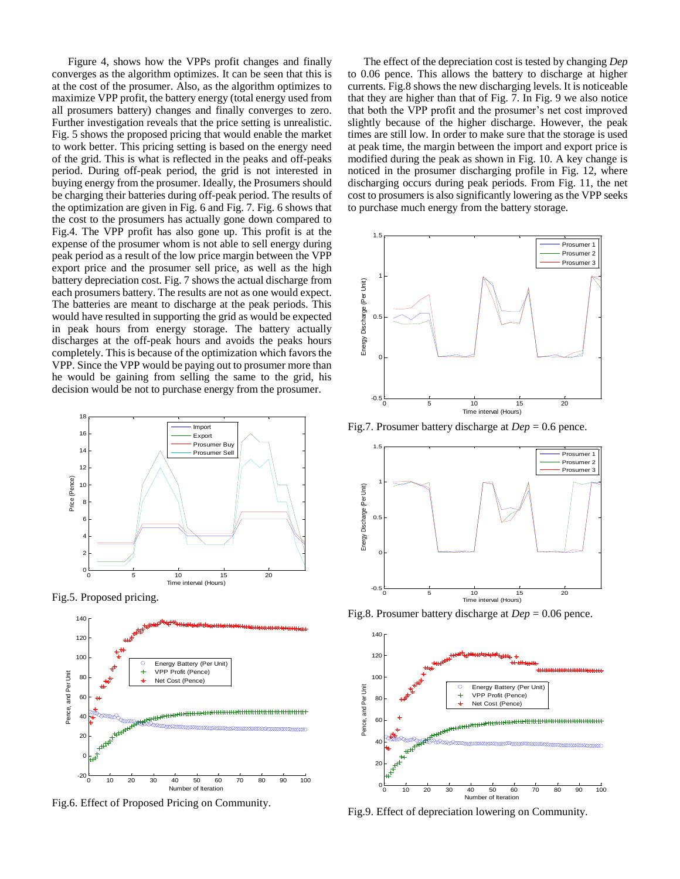Figure 4, shows how the VPPs profit changes and finally converges as the algorithm optimizes. It can be seen that this is at the cost of the prosumer. Also, as the algorithm optimizes to maximize VPP profit, the battery energy (total energy used from all prosumers battery) changes and finally converges to zero. Further investigation reveals that the price setting is unrealistic. Fig. 5 shows the proposed pricing that would enable the market to work better. This pricing setting is based on the energy need of the grid. This is what is reflected in the peaks and off-peaks period. During off-peak period, the grid is not interested in buying energy from the prosumer. Ideally, the Prosumers should be charging their batteries during off-peak period. The results of the optimization are given in Fig. 6 and Fig. 7. Fig. 6 shows that the cost to the prosumers has actually gone down compared to Fig.4. The VPP profit has also gone up. This profit is at the expense of the prosumer whom is not able to sell energy during peak period as a result of the low price margin between the VPP export price and the prosumer sell price, as well as the high battery depreciation cost. Fig. 7 shows the actual discharge from each prosumers battery. The results are not as one would expect. The batteries are meant to discharge at the peak periods. This would have resulted in supporting the grid as would be expected in peak hours from energy storage. The battery actually discharges at the off-peak hours and avoids the peaks hours completely. This is because of the optimization which favors the VPP. Since the VPP would be paying out to prosumer more than he would be gaining from selling the same to the grid, his decision would be not to purchase energy from the prosumer.



Fig.5. Proposed pricing.



Fig.6. Effect of Proposed Pricing on Community.

The effect of the depreciation cost is tested by changing *Dep* to 0.06 pence. This allows the battery to discharge at higher currents. Fig.8 shows the new discharging levels. It is noticeable that they are higher than that of Fig. 7. In Fig. 9 we also notice that both the VPP profit and the prosumer's net cost improved slightly because of the higher discharge. However, the peak times are still low. In order to make sure that the storage is used at peak time, the margin between the import and export price is modified during the peak as shown in Fig. 10. A key change is noticed in the prosumer discharging profile in Fig. 12, where discharging occurs during peak periods. From Fig. 11, the net cost to prosumers is also significantly lowering as the VPP seeks to purchase much energy from the battery storage.



Fig.7. Prosumer battery discharge at *Dep* = 0.6 pence.



Fig.8. Prosumer battery discharge at *Dep* = 0.06 pence.



Fig.9. Effect of depreciation lowering on Community.